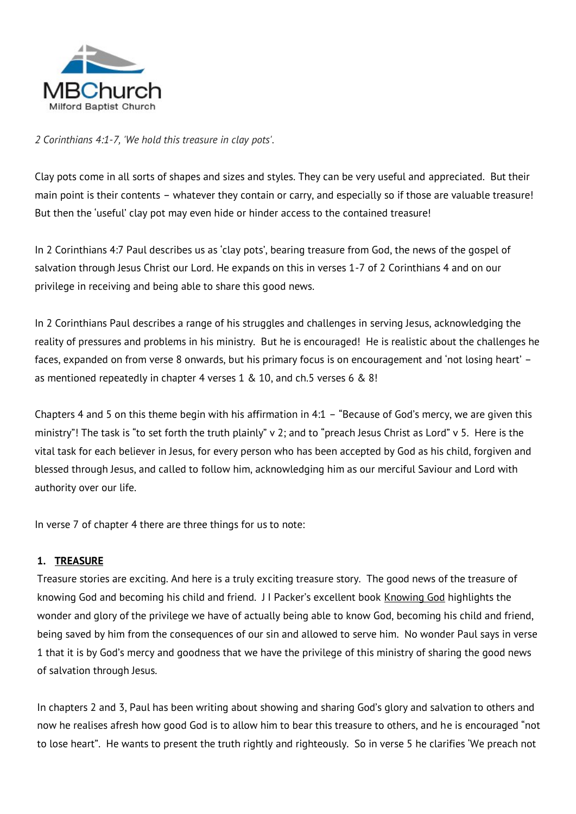

*2 Corinthians 4:1-7, 'We hold this treasure in clay pots'.*

Clay pots come in all sorts of shapes and sizes and styles. They can be very useful and appreciated. But their main point is their contents – whatever they contain or carry, and especially so if those are valuable treasure! But then the 'useful' clay pot may even hide or hinder access to the contained treasure!

In 2 Corinthians 4:7 Paul describes us as 'clay pots', bearing treasure from God, the news of the gospel of salvation through Jesus Christ our Lord. He expands on this in verses 1-7 of 2 Corinthians 4 and on our privilege in receiving and being able to share this good news.

In 2 Corinthians Paul describes a range of his struggles and challenges in serving Jesus, acknowledging the reality of pressures and problems in his ministry. But he is encouraged! He is realistic about the challenges he faces, expanded on from verse 8 onwards, but his primary focus is on encouragement and 'not losing heart' – as mentioned repeatedly in chapter 4 verses 1 & 10, and ch.5 verses 6 & 8!

Chapters 4 and 5 on this theme begin with his affirmation in 4:1 – "Because of God's mercy, we are given this ministry"! The task is "to set forth the truth plainly" v 2; and to "preach Jesus Christ as Lord" v 5. Here is the vital task for each believer in Jesus, for every person who has been accepted by God as his child, forgiven and blessed through Jesus, and called to follow him, acknowledging him as our merciful Saviour and Lord with authority over our life.

In verse 7 of chapter 4 there are three things for us to note:

## **1. TREASURE**

Treasure stories are exciting. And here is a truly exciting treasure story. The good news of the treasure of knowing God and becoming his child and friend. J I Packer's excellent book Knowing God highlights the wonder and glory of the privilege we have of actually being able to know God, becoming his child and friend, being saved by him from the consequences of our sin and allowed to serve him. No wonder Paul says in verse 1 that it is by God's mercy and goodness that we have the privilege of this ministry of sharing the good news of salvation through Jesus.

In chapters 2 and 3, Paul has been writing about showing and sharing God's glory and salvation to others and now he realises afresh how good God is to allow him to bear this treasure to others, and he is encouraged "not to lose heart". He wants to present the truth rightly and righteously. So in verse 5 he clarifies 'We preach not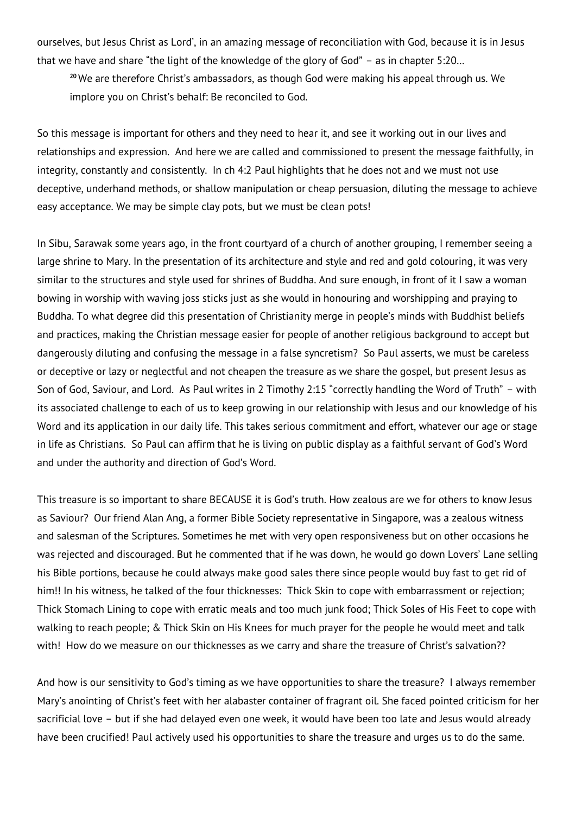ourselves, but Jesus Christ as Lord', in an amazing message of reconciliation with God, because it is in Jesus that we have and share "the light of the knowledge of the glory of God" – as in chapter 5:20…

**<sup>20</sup>** We are therefore Christ's ambassadors, as though God were making his appeal through us. We implore you on Christ's behalf: Be reconciled to God.

So this message is important for others and they need to hear it, and see it working out in our lives and relationships and expression. And here we are called and commissioned to present the message faithfully, in integrity, constantly and consistently. In ch 4:2 Paul highlights that he does not and we must not use deceptive, underhand methods, or shallow manipulation or cheap persuasion, diluting the message to achieve easy acceptance. We may be simple clay pots, but we must be clean pots!

In Sibu, Sarawak some years ago, in the front courtyard of a church of another grouping, I remember seeing a large shrine to Mary. In the presentation of its architecture and style and red and gold colouring, it was very similar to the structures and style used for shrines of Buddha. And sure enough, in front of it I saw a woman bowing in worship with waving joss sticks just as she would in honouring and worshipping and praying to Buddha. To what degree did this presentation of Christianity merge in people's minds with Buddhist beliefs and practices, making the Christian message easier for people of another religious background to accept but dangerously diluting and confusing the message in a false syncretism? So Paul asserts, we must be careless or deceptive or lazy or neglectful and not cheapen the treasure as we share the gospel, but present Jesus as Son of God, Saviour, and Lord. As Paul writes in 2 Timothy 2:15 "correctly handling the Word of Truth" – with its associated challenge to each of us to keep growing in our relationship with Jesus and our knowledge of his Word and its application in our daily life. This takes serious commitment and effort, whatever our age or stage in life as Christians. So Paul can affirm that he is living on public display as a faithful servant of God's Word and under the authority and direction of God's Word.

This treasure is so important to share BECAUSE it is God's truth. How zealous are we for others to know Jesus as Saviour? Our friend Alan Ang, a former Bible Society representative in Singapore, was a zealous witness and salesman of the Scriptures. Sometimes he met with very open responsiveness but on other occasions he was rejected and discouraged. But he commented that if he was down, he would go down Lovers' Lane selling his Bible portions, because he could always make good sales there since people would buy fast to get rid of him!! In his witness, he talked of the four thicknesses: Thick Skin to cope with embarrassment or rejection; Thick Stomach Lining to cope with erratic meals and too much junk food; Thick Soles of His Feet to cope with walking to reach people; & Thick Skin on His Knees for much prayer for the people he would meet and talk with! How do we measure on our thicknesses as we carry and share the treasure of Christ's salvation??

And how is our sensitivity to God's timing as we have opportunities to share the treasure? I always remember Mary's anointing of Christ's feet with her alabaster container of fragrant oil. She faced pointed criticism for her sacrificial love – but if she had delayed even one week, it would have been too late and Jesus would already have been crucified! Paul actively used his opportunities to share the treasure and urges us to do the same.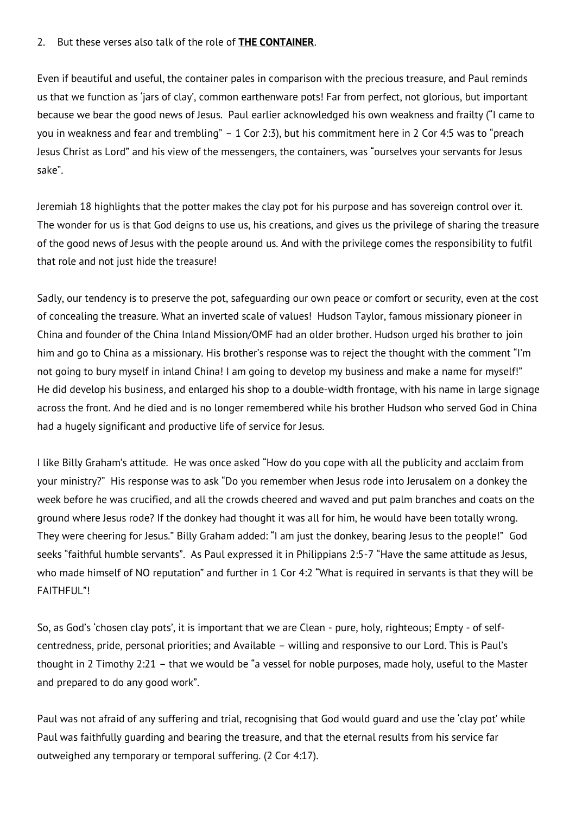## 2. But these verses also talk of the role of **THE CONTAINER**.

Even if beautiful and useful, the container pales in comparison with the precious treasure, and Paul reminds us that we function as 'jars of clay', common earthenware pots! Far from perfect, not glorious, but important because we bear the good news of Jesus. Paul earlier acknowledged his own weakness and frailty ("I came to you in weakness and fear and trembling" – 1 Cor 2:3), but his commitment here in 2 Cor 4:5 was to "preach Jesus Christ as Lord" and his view of the messengers, the containers, was "ourselves your servants for Jesus sake".

Jeremiah 18 highlights that the potter makes the clay pot for his purpose and has sovereign control over it. The wonder for us is that God deigns to use us, his creations, and gives us the privilege of sharing the treasure of the good news of Jesus with the people around us. And with the privilege comes the responsibility to fulfil that role and not just hide the treasure!

Sadly, our tendency is to preserve the pot, safeguarding our own peace or comfort or security, even at the cost of concealing the treasure. What an inverted scale of values! Hudson Taylor, famous missionary pioneer in China and founder of the China Inland Mission/OMF had an older brother. Hudson urged his brother to join him and go to China as a missionary. His brother's response was to reject the thought with the comment "I'm not going to bury myself in inland China! I am going to develop my business and make a name for myself!" He did develop his business, and enlarged his shop to a double-width frontage, with his name in large signage across the front. And he died and is no longer remembered while his brother Hudson who served God in China had a hugely significant and productive life of service for Jesus.

I like Billy Graham's attitude. He was once asked "How do you cope with all the publicity and acclaim from your ministry?" His response was to ask "Do you remember when Jesus rode into Jerusalem on a donkey the week before he was crucified, and all the crowds cheered and waved and put palm branches and coats on the ground where Jesus rode? If the donkey had thought it was all for him, he would have been totally wrong. They were cheering for Jesus." Billy Graham added: "I am just the donkey, bearing Jesus to the people!" God seeks "faithful humble servants". As Paul expressed it in Philippians 2:5-7 "Have the same attitude as Jesus, who made himself of NO reputation" and further in 1 Cor 4:2 "What is required in servants is that they will be FAITHFUL"!

So, as God's 'chosen clay pots', it is important that we are Clean - pure, holy, righteous; Empty - of selfcentredness, pride, personal priorities; and Available – willing and responsive to our Lord. This is Paul's thought in 2 Timothy 2:21 – that we would be "a vessel for noble purposes, made holy, useful to the Master and prepared to do any good work".

Paul was not afraid of any suffering and trial, recognising that God would guard and use the 'clay pot' while Paul was faithfully guarding and bearing the treasure, and that the eternal results from his service far outweighed any temporary or temporal suffering. (2 Cor 4:17).